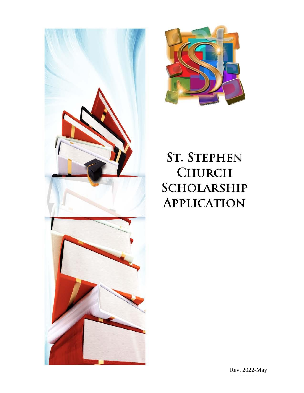



# **ST. STEPHEN CHURCH SCHOLARSHIP APPLICATION**

Rev. 2022-May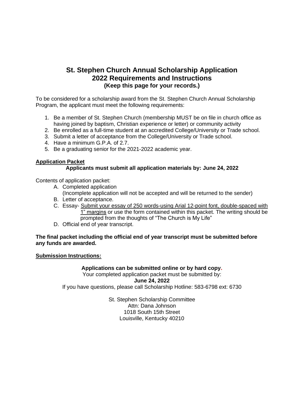### **St. Stephen Church Annual Scholarship Application 2022 Requirements and Instructions (Keep this page for your records.)**

To be considered for a scholarship award from the St. Stephen Church Annual Scholarship Program, the applicant must meet the following requirements:

- 1. Be a member of St. Stephen Church (membership MUST be on file in church office as having joined by baptism, Christian experience or letter) or community activity
- 2. Be enrolled as a full-time student at an accredited College/University or Trade school.
- 3. Submit a letter of acceptance from the College/University or Trade school.
- 4. Have a minimum G.P.A. of 2.7.
- 5. Be a graduating senior for the 2021-2022 academic year.

#### **Application Packet**

#### **Applicants must submit all application materials by: June 24, 2022**

Contents of application packet:

- A. Completed application (Incomplete application will not be accepted and will be returned to the sender)
- B. Letter of acceptance.
- C. Essay- Submit your essay of 250 words-using Arial 12-point font, double-spaced with 1" margins or use the form contained within this packet. The writing should be prompted from the thoughts of "The Church is My Life"
- D. Official end of year transcript.

#### **The final packet including the official end of year transcript must be submitted before any funds are awarded.**

#### **Submission Instructions:**

#### **Applications can be submitted online or by hard copy.**

Your completed application packet must be submitted by:

**June 24, 2022** 

If you have questions, please call Scholarship Hotline: 583-6798 ext: 6730

St. Stephen Scholarship Committee Attn: Dana Johnson 1018 South 15th Street Louisville, Kentucky 40210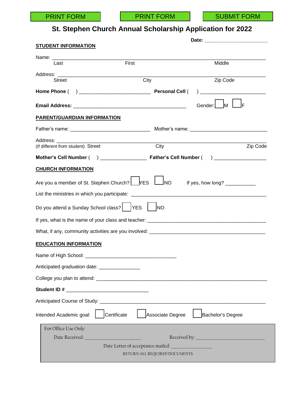## **St. Stephen Church Annual Scholarship Application for 2022**

| <b>STUDENT INFORMATION</b>                    |                                   |                               |                                                       |  |
|-----------------------------------------------|-----------------------------------|-------------------------------|-------------------------------------------------------|--|
|                                               | First                             |                               | Middle                                                |  |
| Last                                          |                                   |                               |                                                       |  |
| Street                                        | City                              |                               | Zip Code                                              |  |
|                                               |                                   |                               |                                                       |  |
|                                               |                                   |                               |                                                       |  |
|                                               |                                   |                               | Iм<br>lF<br>Gender:                                   |  |
| PARENT/GUARDIAN INFORMATION                   |                                   |                               |                                                       |  |
|                                               |                                   |                               |                                                       |  |
| Address: Andreas Address Andrew March 1997    |                                   |                               |                                                       |  |
| (If different from student) Street            |                                   | City                          | Zip Code                                              |  |
|                                               |                                   |                               |                                                       |  |
| <b>CHURCH INFORMATION</b>                     |                                   |                               |                                                       |  |
| Are you a member of St. Stephen Church? FS    |                                   |                               | MO If yes, how long?                                  |  |
|                                               |                                   |                               |                                                       |  |
| Do you attend a Sunday School class?   YES    |                                   | <b>INO</b>                    |                                                       |  |
|                                               |                                   |                               |                                                       |  |
|                                               |                                   |                               |                                                       |  |
| <b>EDUCATION INFORMATION</b>                  |                                   |                               |                                                       |  |
|                                               |                                   |                               |                                                       |  |
| Anticipated graduation date: ________________ |                                   |                               |                                                       |  |
|                                               |                                   |                               |                                                       |  |
|                                               |                                   |                               |                                                       |  |
|                                               |                                   |                               |                                                       |  |
|                                               |                                   |                               |                                                       |  |
| Intended Academic goal:                       | Certificate                       | Associate Degree              | Bachelor's Degree                                     |  |
| For Office Use Only:                          |                                   |                               |                                                       |  |
| Date Received: New York New York 1989         |                                   |                               | Received by: Necessary Management of the Received by: |  |
|                                               | Date Letter of acceptance mailed: |                               |                                                       |  |
|                                               |                                   | RETURN ALL REQUIRED DOCUMENTS |                                                       |  |